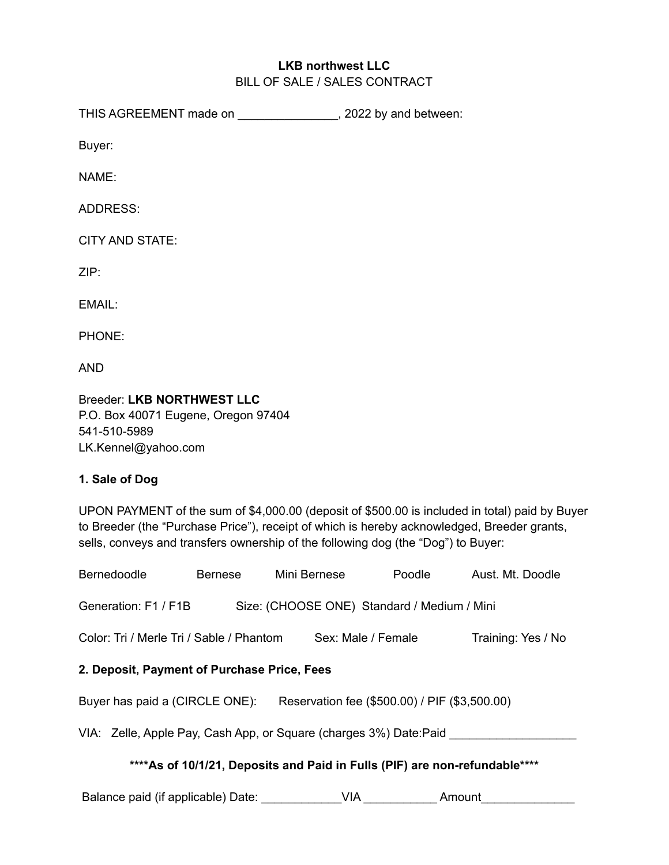## **LKB northwest LLC** BILL OF SALE / SALES CONTRACT

THIS AGREEMENT made on \_\_\_\_\_\_\_\_\_\_\_\_\_\_\_\_, 2022 by and between:

Buyer:

NAME:

ADDRESS:

CITY AND STATE:

ZIP:

EMAIL:

PHONE:

AND

Breeder: **LKB NORTHWEST LLC** P.O. Box 40071 Eugene, Oregon 97404 541-510-5989 LK.Kennel@yahoo.com

# **1. Sale of Dog**

UPON PAYMENT of the sum of \$4,000.00 (deposit of \$500.00 is included in total) paid by Buyer to Breeder (the "Purchase Price"), receipt of which is hereby acknowledged, Breeder grants, sells, conveys and transfers ownership of the following dog (the "Dog") to Buyer:

| Bernedoodle                                                                     | Bernese | Mini Bernese       | Poodle | Aust. Mt. Doodle   |
|---------------------------------------------------------------------------------|---------|--------------------|--------|--------------------|
| Generation: F1 / F1B<br>Size: (CHOOSE ONE) Standard / Medium / Mini             |         |                    |        |                    |
| Color: Tri / Merle Tri / Sable / Phantom                                        |         | Sex: Male / Female |        | Training: Yes / No |
| 2. Deposit, Payment of Purchase Price, Fees                                     |         |                    |        |                    |
| Buyer has paid a (CIRCLE ONE):<br>Reservation fee (\$500.00) / PIF (\$3,500.00) |         |                    |        |                    |
| VIA: Zelle, Apple Pay, Cash App, or Square (charges 3%) Date: Paid ___          |         |                    |        |                    |
| **** As of 10/1/21, Deposits and Paid in Fulls (PIF) are non-refundable****     |         |                    |        |                    |

Balance paid (if applicable) Date: \_\_\_\_\_\_\_\_\_\_\_\_\_\_VIA \_\_\_\_\_\_\_\_\_\_\_\_\_\_\_\_ Amount \_\_\_\_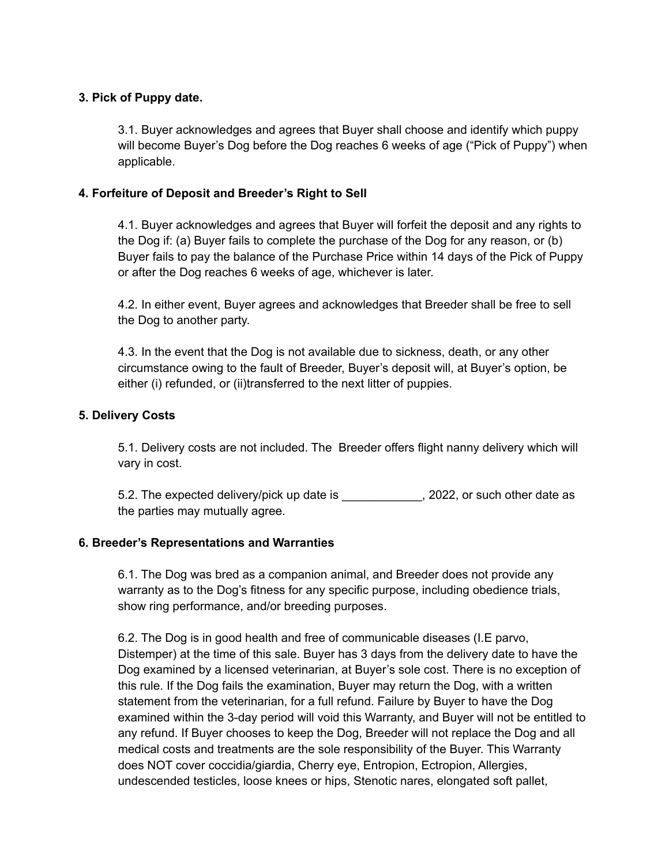## **3. Pick of Puppy date.**

3.1. Buyer acknowledges and agrees that Buyer shall choose and identify which puppy will become Buyer's Dog before the Dog reaches 6 weeks of age ("Pick of Puppy") when applicable.

## **4. Forfeiture of Deposit and Breeder's Right to Sell**

4.1. Buyer acknowledges and agrees that Buyer will forfeit the deposit and any rights to the Dog if: (a) Buyer fails to complete the purchase of the Dog for any reason, or (b) Buyer fails to pay the balance of the Purchase Price within 14 days of the Pick of Puppy or after the Dog reaches 6 weeks of age, whichever is later.

4.2. In either event, Buyer agrees and acknowledges that Breeder shall be free to sell the Dog to another party.

4.3. In the event that the Dog is not available due to sickness, death, or any other circumstance owing to the fault of Breeder, Buyer's deposit will, at Buyer's option, be either (i) refunded, or (ii)transferred to the next litter of puppies.

#### **5. Delivery Costs**

5.1. Delivery costs are not included. The Breeder offers flight nanny delivery which will vary in cost.

5.2. The expected delivery/pick up date is  $\qquad \qquad$ , 2022, or such other date as the parties may mutually agree.

#### **6. Breeder's Representations and Warranties**

6.1. The Dog was bred as a companion animal, and Breeder does not provide any warranty as to the Dog's fitness for any specific purpose, including obedience trials, show ring performance, and/or breeding purposes.

6.2. The Dog is in good health and free of communicable diseases (I.E parvo, Distemper) at the time of this sale. Buyer has 3 days from the delivery date to have the Dog examined by a licensed veterinarian, at Buyer's sole cost. There is no exception of this rule. If the Dog fails the examination, Buyer may return the Dog, with a written statement from the veterinarian, for a full refund. Failure by Buyer to have the Dog examined within the 3-day period will void this Warranty, and Buyer will not be entitled to any refund. If Buyer chooses to keep the Dog, Breeder will not replace the Dog and all medical costs and treatments are the sole responsibility of the Buyer. This Warranty does NOT cover coccidia/giardia, Cherry eye, Entropion, Ectropion, Allergies, undescended testicles, loose knees or hips, Stenotic nares, elongated soft pallet,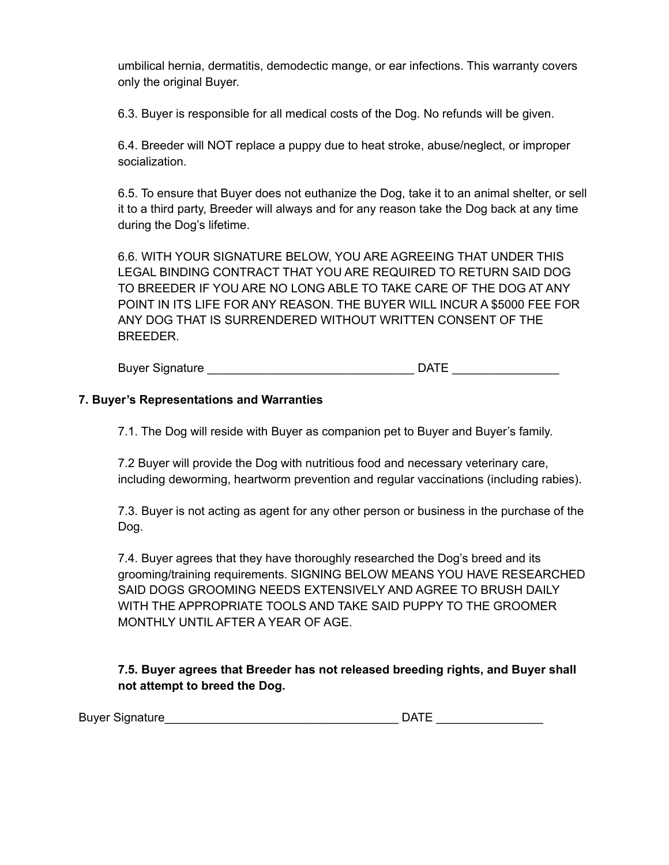umbilical hernia, dermatitis, demodectic mange, or ear infections. This warranty covers only the original Buyer.

6.3. Buyer is responsible for all medical costs of the Dog. No refunds will be given.

6.4. Breeder will NOT replace a puppy due to heat stroke, abuse/neglect, or improper socialization.

6.5. To ensure that Buyer does not euthanize the Dog, take it to an animal shelter, or sell it to a third party, Breeder will always and for any reason take the Dog back at any time during the Dog's lifetime.

6.6. WITH YOUR SIGNATURE BELOW, YOU ARE AGREEING THAT UNDER THIS LEGAL BINDING CONTRACT THAT YOU ARE REQUIRED TO RETURN SAID DOG TO BREEDER IF YOU ARE NO LONG ABLE TO TAKE CARE OF THE DOG AT ANY POINT IN ITS LIFE FOR ANY REASON. THE BUYER WILL INCUR A \$5000 FEE FOR ANY DOG THAT IS SURRENDERED WITHOUT WRITTEN CONSENT OF THE BREEDER.

Buyer Signature **Example 20** and the set of the Second DATE

## **7. Buyer's Representations and Warranties**

7.1. The Dog will reside with Buyer as companion pet to Buyer and Buyer's family.

7.2 Buyer will provide the Dog with nutritious food and necessary veterinary care, including deworming, heartworm prevention and regular vaccinations (including rabies).

7.3. Buyer is not acting as agent for any other person or business in the purchase of the Dog.

7.4. Buyer agrees that they have thoroughly researched the Dog's breed and its grooming/training requirements. SIGNING BELOW MEANS YOU HAVE RESEARCHED SAID DOGS GROOMING NEEDS EXTENSIVELY AND AGREE TO BRUSH DAILY WITH THE APPROPRIATE TOOLS AND TAKE SAID PUPPY TO THE GROOMER MONTHLY UNTIL AFTER A YEAR OF AGE.

**7.5. Buyer agrees that Breeder has not released breeding rights, and Buyer shall not attempt to breed the Dog.**

Buyer Signature\_\_\_\_\_\_\_\_\_\_\_\_\_\_\_\_\_\_\_\_\_\_\_\_\_\_\_\_\_\_\_\_\_\_\_ DATE \_\_\_\_\_\_\_\_\_\_\_\_\_\_\_\_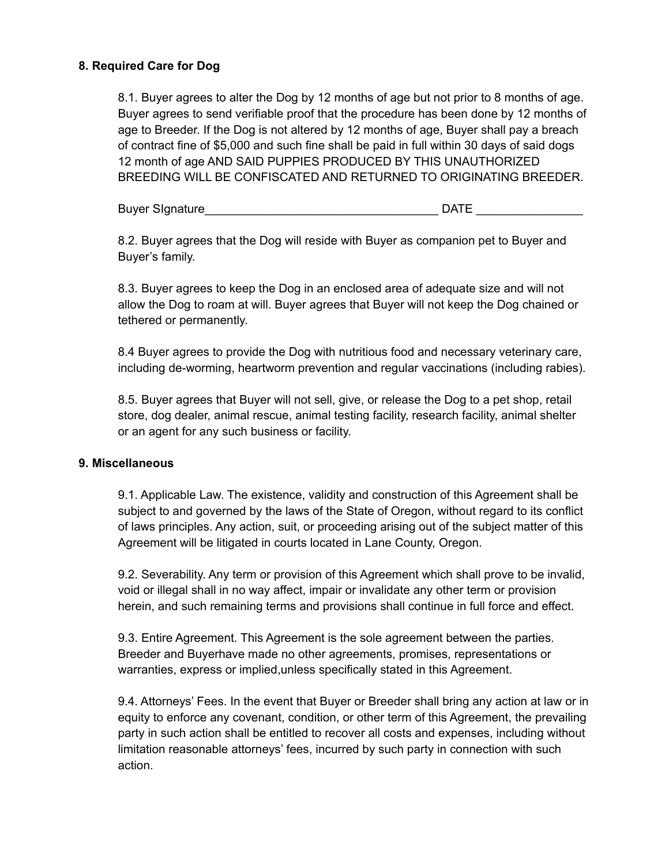## **8. Required Care for Dog**

8.1. Buyer agrees to alter the Dog by 12 months of age but not prior to 8 months of age. Buyer agrees to send verifiable proof that the procedure has been done by 12 months of age to Breeder. If the Dog is not altered by 12 months of age, Buyer shall pay a breach of contract fine of \$5,000 and such fine shall be paid in full within 30 days of said dogs 12 month of age AND SAID PUPPIES PRODUCED BY THIS UNAUTHORIZED BREEDING WILL BE CONFISCATED AND RETURNED TO ORIGINATING BREEDER.

Buyer SIgnature **Example 20 and 20 and 20 and 20 and 20 and 20 and 20 and 20 and 20 and 20 and 20 and 20 and 20** 

8.2. Buyer agrees that the Dog will reside with Buyer as companion pet to Buyer and Buyer's family.

8.3. Buyer agrees to keep the Dog in an enclosed area of adequate size and will not allow the Dog to roam at will. Buyer agrees that Buyer will not keep the Dog chained or tethered or permanently.

8.4 Buyer agrees to provide the Dog with nutritious food and necessary veterinary care, including de-worming, heartworm prevention and regular vaccinations (including rabies).

8.5. Buyer agrees that Buyer will not sell, give, or release the Dog to a pet shop, retail store, dog dealer, animal rescue, animal testing facility, research facility, animal shelter or an agent for any such business or facility.

#### **9. Miscellaneous**

9.1. Applicable Law. The existence, validity and construction of this Agreement shall be subject to and governed by the laws of the State of Oregon, without regard to its conflict of laws principles. Any action, suit, or proceeding arising out of the subject matter of this Agreement will be litigated in courts located in Lane County, Oregon.

9.2. Severability. Any term or provision of this Agreement which shall prove to be invalid, void or illegal shall in no way affect, impair or invalidate any other term or provision herein, and such remaining terms and provisions shall continue in full force and effect.

9.3. Entire Agreement. This Agreement is the sole agreement between the parties. Breeder and Buyerhave made no other agreements, promises, representations or warranties, express or implied,unless specifically stated in this Agreement.

9.4. Attorneys' Fees. In the event that Buyer or Breeder shall bring any action at law or in equity to enforce any covenant, condition, or other term of this Agreement, the prevailing party in such action shall be entitled to recover all costs and expenses, including without limitation reasonable attorneys' fees, incurred by such party in connection with such action.